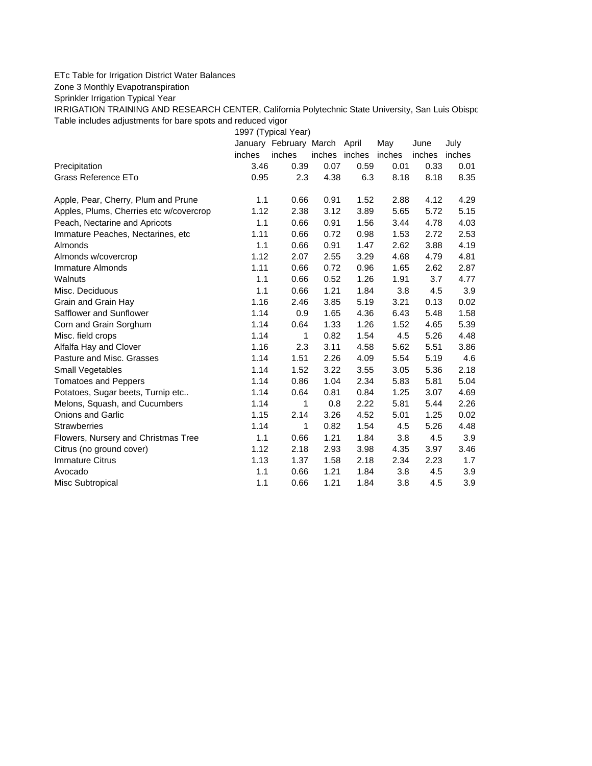## ETc Table for Irrigation District Water Balances

Zone 3 Monthly Evapotranspiration

Sprinkler Irrigation Typical Year

IRRIGATION TRAINING AND RESEARCH CENTER, California Polytechnic State University, San Luis Obispo Table includes adjustments for bare spots and reduced vigor

1997 (Typical Year) January February March April May June July inches inches inches inches inches inches inches Precipitation 3.46 0.39 0.07 0.59 0.01 0.33 0.01 Grass Reference ETo  $0.95$   $2.3$   $4.38$   $6.3$   $8.18$   $8.18$   $8.35$ Apple, Pear, Cherry, Plum and Prune 1.1 0.66 0.91 1.52 2.88 4.12 4.29 Apples, Plums, Cherries etc w/covercrop 1.12 2.38 3.12 3.89 5.65 5.72 5.15 Peach, Nectarine and Apricots 1.1 0.66 0.91 1.56 3.44 4.78 4.03 Immature Peaches, Nectarines, etc 1.11 0.66 0.72 0.98 1.53 2.72 2.53 Almonds 1.1 0.66 0.91 1.47 2.62 3.88 4.19 Almonds w/covercrop 1.12 2.07 2.55 3.29 4.68 4.79 4.81 Immature Almonds 1.11 0.66 0.72 0.96 1.65 2.62 2.87 Walnuts 1.1 0.66 0.52 1.26 1.91 3.7 4.77 Misc. Deciduous 1.1 0.66 1.21 1.84 3.8 4.5 3.9 Grain and Grain Hay 1.16 2.46 3.85 5.19 3.21 0.13 0.02 Safflower and Sunflower 1.14 0.9 1.65 4.36 6.43 5.48 1.58 Corn and Grain Sorghum 1.14 0.64 1.33 1.26 1.52 4.65 5.39 Misc. field crops **1.14** 1 0.82 1.54 4.5 5.26 4.48 Alfalfa Hay and Clover 1.16 2.3 3.11 4.58 5.62 5.51 3.86 Pasture and Misc. Grasses 1.14 1.51 2.26 4.09 5.54 5.19 4.6 Small Vegetables 1.14 1.52 3.22 3.55 3.05 5.36 2.18 Tomatoes and Peppers 1.14 0.86 1.04 2.34 5.83 5.81 5.04 Potatoes, Sugar beets, Turnip etc.. <br>1.14 0.64 0.81 0.84 1.25 3.07 4.69 Melons, Squash, and Cucumbers 1.14 1 0.8 2.22 5.81 5.44 2.26 Onions and Garlic 1.15 2.14 3.26 4.52 5.01 1.25 0.02 Strawberries 1.14 1 0.82 1.54 4.5 5.26 4.48 Flowers, Nursery and Christmas Tree 1.1 0.66 1.21 1.84 3.8 4.5 3.9 Citrus (no ground cover) 1.12 2.18 2.93 3.98 4.35 3.97 3.46 Immature Citrus 1.13 1.37 1.58 2.18 2.34 2.23 1.7 Avocado 1.1 0.66 1.21 1.84 3.8 4.5 3.9 Misc Subtropical 1.1 0.66 1.21 1.84 3.8 4.5 3.9